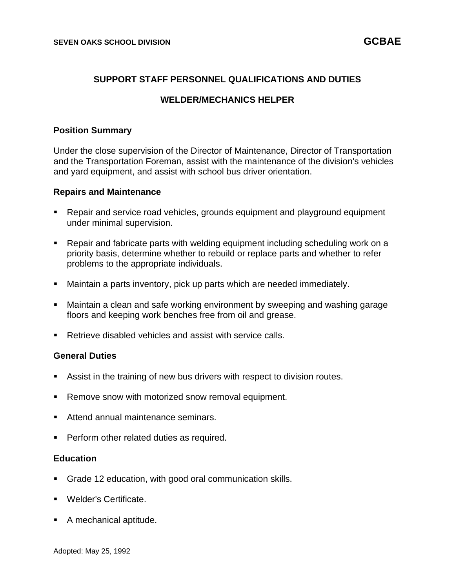## **SUPPORT STAFF PERSONNEL QUALIFICATIONS AND DUTIES**

## **WELDER/MECHANICS HELPER**

### **Position Summary**

Under the close supervision of the Director of Maintenance, Director of Transportation and the Transportation Foreman, assist with the maintenance of the division's vehicles and yard equipment, and assist with school bus driver orientation.

### **Repairs and Maintenance**

- Repair and service road vehicles, grounds equipment and playground equipment under minimal supervision.
- Repair and fabricate parts with welding equipment including scheduling work on a priority basis, determine whether to rebuild or replace parts and whether to refer problems to the appropriate individuals.
- Maintain a parts inventory, pick up parts which are needed immediately.
- Maintain a clean and safe working environment by sweeping and washing garage floors and keeping work benches free from oil and grease.
- Retrieve disabled vehicles and assist with service calls.

#### **General Duties**

- Assist in the training of new bus drivers with respect to division routes.
- Remove snow with motorized snow removal equipment.
- Attend annual maintenance seminars.
- **Perform other related duties as required.**

## **Education**

- Grade 12 education, with good oral communication skills.
- Welder's Certificate.
- A mechanical aptitude.